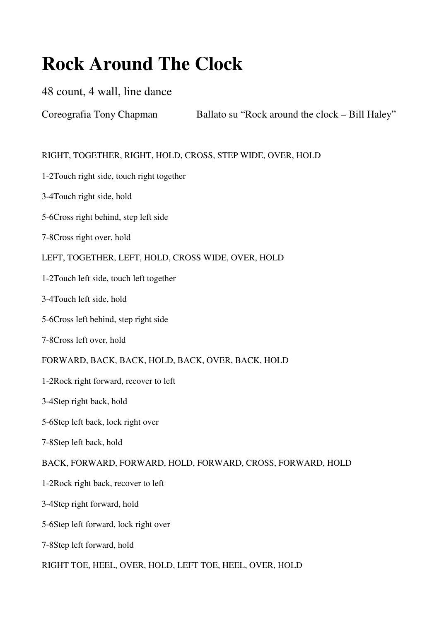# **Rock Around The Clock**

# 48 count, 4 wall, line dance

Coreografia Tony Chapman Ballato su "Rock around the clock – Bill Haley"

# RIGHT, TOGETHER, RIGHT, HOLD, CROSS, STEP WIDE, OVER, HOLD

- 1-2Touch right side, touch right together
- 3-4Touch right side, hold
- 5-6Cross right behind, step left side
- 7-8Cross right over, hold

### LEFT, TOGETHER, LEFT, HOLD, CROSS WIDE, OVER, HOLD

- 1-2Touch left side, touch left together
- 3-4Touch left side, hold
- 5-6Cross left behind, step right side
- 7-8Cross left over, hold

#### FORWARD, BACK, BACK, HOLD, BACK, OVER, BACK, HOLD

- 1-2Rock right forward, recover to left
- 3-4Step right back, hold
- 5-6Step left back, lock right over
- 7-8Step left back, hold

# BACK, FORWARD, FORWARD, HOLD, FORWARD, CROSS, FORWARD, HOLD

- 1-2Rock right back, recover to left
- 3-4Step right forward, hold
- 5-6Step left forward, lock right over
- 7-8Step left forward, hold

#### RIGHT TOE, HEEL, OVER, HOLD, LEFT TOE, HEEL, OVER, HOLD